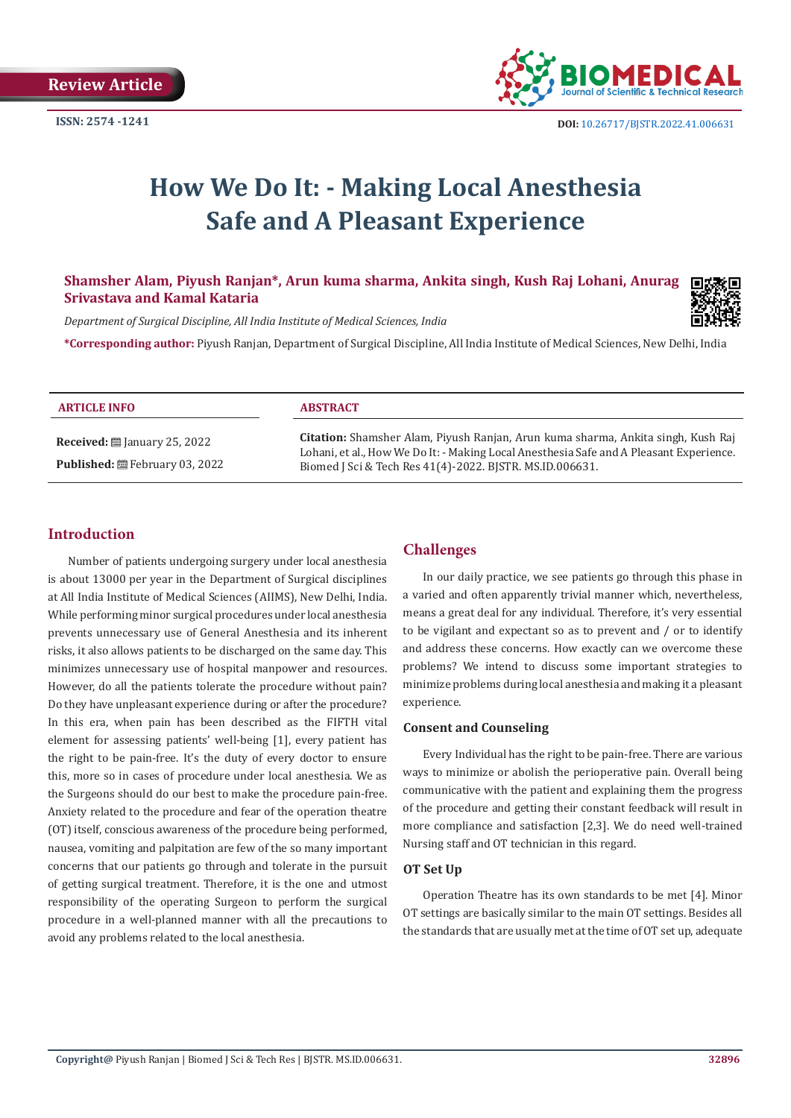

# **How We Do It: - Making Local Anesthesia Safe and A Pleasant Experience**

# **Shamsher Alam, Piyush Ranjan\*, Arun kuma sharma, Ankita singh, Kush Raj Lohani, Anurag Srivastava and Kamal Kataria**



*Department of Surgical Discipline, All India Institute of Medical Sciences, India*

**\*Corresponding author:** Piyush Ranjan, Department of Surgical Discipline, All India Institute of Medical Sciences, New Delhi, India

| <b>ARTICLE INFO</b>                                                                     | <b>ABSTRACT</b>                                                                                                                                                                                                                         |
|-----------------------------------------------------------------------------------------|-----------------------------------------------------------------------------------------------------------------------------------------------------------------------------------------------------------------------------------------|
| <b>Received:</b> $\mathbf{m}$ January 25, 2022<br><b>Published:</b> 巴 February 03, 2022 | Citation: Shamsher Alam, Piyush Ranjan, Arun kuma sharma, Ankita singh, Kush Raj<br>Lohani, et al., How We Do It: - Making Local Anesthesia Safe and A Pleasant Experience.<br>Biomed J Sci & Tech Res 41(4)-2022. BJSTR. MS.ID.006631. |

# **Introduction**

Number of patients undergoing surgery under local anesthesia is about 13000 per year in the Department of Surgical disciplines at All India Institute of Medical Sciences (AIIMS), New Delhi, India. While performing minor surgical procedures under local anesthesia prevents unnecessary use of General Anesthesia and its inherent risks, it also allows patients to be discharged on the same day. This minimizes unnecessary use of hospital manpower and resources. However, do all the patients tolerate the procedure without pain? Do they have unpleasant experience during or after the procedure? In this era, when pain has been described as the FIFTH vital element for assessing patients' well-being [1], every patient has the right to be pain-free. It's the duty of every doctor to ensure this, more so in cases of procedure under local anesthesia. We as the Surgeons should do our best to make the procedure pain-free. Anxiety related to the procedure and fear of the operation theatre (OT) itself, conscious awareness of the procedure being performed, nausea, vomiting and palpitation are few of the so many important concerns that our patients go through and tolerate in the pursuit of getting surgical treatment. Therefore, it is the one and utmost responsibility of the operating Surgeon to perform the surgical procedure in a well-planned manner with all the precautions to avoid any problems related to the local anesthesia.

# **Challenges**

In our daily practice, we see patients go through this phase in a varied and often apparently trivial manner which, nevertheless, means a great deal for any individual. Therefore, it's very essential to be vigilant and expectant so as to prevent and / or to identify and address these concerns. How exactly can we overcome these problems? We intend to discuss some important strategies to minimize problems during local anesthesia and making it a pleasant experience.

# **Consent and Counseling**

Every Individual has the right to be pain-free. There are various ways to minimize or abolish the perioperative pain. Overall being communicative with the patient and explaining them the progress of the procedure and getting their constant feedback will result in more compliance and satisfaction [2,3]. We do need well-trained Nursing staff and OT technician in this regard.

# **OT Set Up**

Operation Theatre has its own standards to be met [4]. Minor OT settings are basically similar to the main OT settings. Besides all the standards that are usually met at the time of OT set up, adequate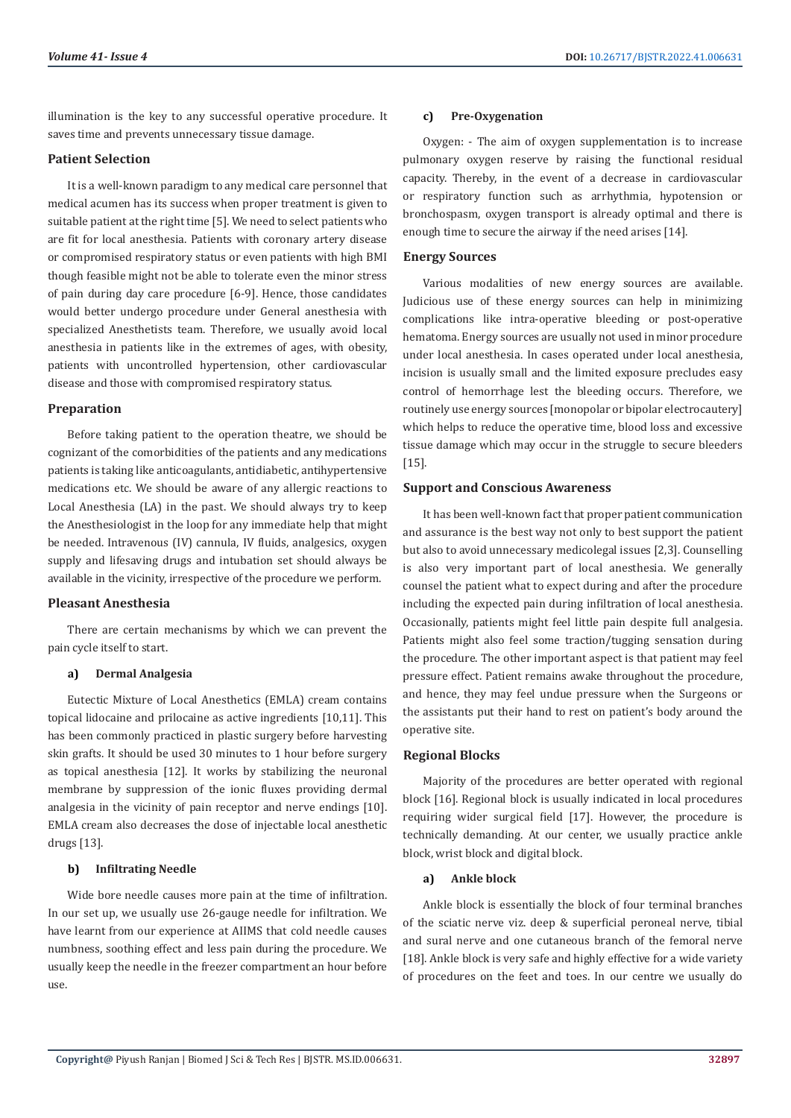illumination is the key to any successful operative procedure. It saves time and prevents unnecessary tissue damage.

#### **Patient Selection**

It is a well-known paradigm to any medical care personnel that medical acumen has its success when proper treatment is given to suitable patient at the right time [5]. We need to select patients who are fit for local anesthesia. Patients with coronary artery disease or compromised respiratory status or even patients with high BMI though feasible might not be able to tolerate even the minor stress of pain during day care procedure [6-9]. Hence, those candidates would better undergo procedure under General anesthesia with specialized Anesthetists team. Therefore, we usually avoid local anesthesia in patients like in the extremes of ages, with obesity, patients with uncontrolled hypertension, other cardiovascular disease and those with compromised respiratory status.

#### **Preparation**

Before taking patient to the operation theatre, we should be cognizant of the comorbidities of the patients and any medications patients is taking like anticoagulants, antidiabetic, antihypertensive medications etc. We should be aware of any allergic reactions to Local Anesthesia (LA) in the past. We should always try to keep the Anesthesiologist in the loop for any immediate help that might be needed. Intravenous (IV) cannula, IV fluids, analgesics, oxygen supply and lifesaving drugs and intubation set should always be available in the vicinity, irrespective of the procedure we perform.

### **Pleasant Anesthesia**

There are certain mechanisms by which we can prevent the pain cycle itself to start.

#### **a) Dermal Analgesia**

Eutectic Mixture of Local Anesthetics (EMLA) cream contains topical lidocaine and prilocaine as active ingredients [10,11]. This has been commonly practiced in plastic surgery before harvesting skin grafts. It should be used 30 minutes to 1 hour before surgery as topical anesthesia [12]. It works by stabilizing the neuronal membrane by suppression of the ionic fluxes providing dermal analgesia in the vicinity of pain receptor and nerve endings [10]. EMLA cream also decreases the dose of injectable local anesthetic drugs [13].

# **b) Infiltrating Needle**

Wide bore needle causes more pain at the time of infiltration. In our set up, we usually use 26-gauge needle for infiltration. We have learnt from our experience at AIIMS that cold needle causes numbness, soothing effect and less pain during the procedure. We usually keep the needle in the freezer compartment an hour before use.

#### **c) Pre-Oxygenation**

Oxygen: - The aim of oxygen supplementation is to increase pulmonary oxygen reserve by raising the functional residual capacity. Thereby, in the event of a decrease in cardiovascular or respiratory function such as arrhythmia, hypotension or bronchospasm, oxygen transport is already optimal and there is enough time to secure the airway if the need arises [14].

#### **Energy Sources**

Various modalities of new energy sources are available. Judicious use of these energy sources can help in minimizing complications like intra-operative bleeding or post-operative hematoma. Energy sources are usually not used in minor procedure under local anesthesia. In cases operated under local anesthesia, incision is usually small and the limited exposure precludes easy control of hemorrhage lest the bleeding occurs. Therefore, we routinely use energy sources [monopolar or bipolar electrocautery] which helps to reduce the operative time, blood loss and excessive tissue damage which may occur in the struggle to secure bleeders [15].

# **Support and Conscious Awareness**

It has been well-known fact that proper patient communication and assurance is the best way not only to best support the patient but also to avoid unnecessary medicolegal issues [2,3]. Counselling is also very important part of local anesthesia. We generally counsel the patient what to expect during and after the procedure including the expected pain during infiltration of local anesthesia. Occasionally, patients might feel little pain despite full analgesia. Patients might also feel some traction/tugging sensation during the procedure. The other important aspect is that patient may feel pressure effect. Patient remains awake throughout the procedure, and hence, they may feel undue pressure when the Surgeons or the assistants put their hand to rest on patient's body around the operative site.

# **Regional Blocks**

Majority of the procedures are better operated with regional block [16]. Regional block is usually indicated in local procedures requiring wider surgical field [17]. However, the procedure is technically demanding. At our center, we usually practice ankle block, wrist block and digital block.

# **a) Ankle block**

Ankle block is essentially the block of four terminal branches of the sciatic nerve viz. deep & superficial peroneal nerve, tibial and sural nerve and one cutaneous branch of the femoral nerve [18]. Ankle block is very safe and highly effective for a wide variety of procedures on the feet and toes. In our centre we usually do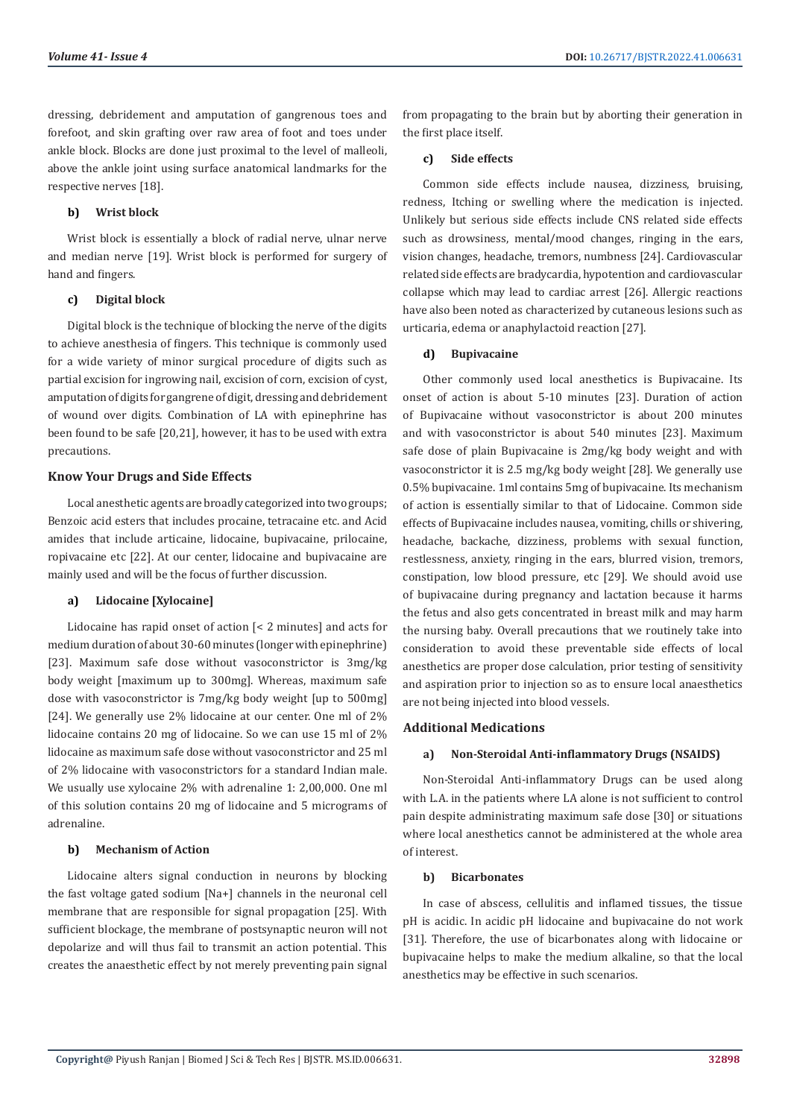dressing, debridement and amputation of gangrenous toes and forefoot, and skin grafting over raw area of foot and toes under ankle block. Blocks are done just proximal to the level of malleoli, above the ankle joint using surface anatomical landmarks for the respective nerves [18].

#### **b) Wrist block**

Wrist block is essentially a block of radial nerve, ulnar nerve and median nerve [19]. Wrist block is performed for surgery of hand and fingers.

#### **c) Digital block**

Digital block is the technique of blocking the nerve of the digits to achieve anesthesia of fingers. This technique is commonly used for a wide variety of minor surgical procedure of digits such as partial excision for ingrowing nail, excision of corn, excision of cyst, amputation of digits for gangrene of digit, dressing and debridement of wound over digits. Combination of LA with epinephrine has been found to be safe [20,21], however, it has to be used with extra precautions.

# **Know Your Drugs and Side Effects**

Local anesthetic agents are broadly categorized into two groups; Benzoic acid esters that includes procaine, tetracaine etc. and Acid amides that include articaine, lidocaine, bupivacaine, prilocaine, ropivacaine etc [22]. At our center, lidocaine and bupivacaine are mainly used and will be the focus of further discussion.

#### **a) Lidocaine [Xylocaine]**

Lidocaine has rapid onset of action [< 2 minutes] and acts for medium duration of about 30-60 minutes (longer with epinephrine) [23]. Maximum safe dose without vasoconstrictor is 3mg/kg body weight [maximum up to 300mg]. Whereas, maximum safe dose with vasoconstrictor is 7mg/kg body weight [up to 500mg] [24]. We generally use 2% lidocaine at our center. One ml of 2% lidocaine contains 20 mg of lidocaine. So we can use 15 ml of 2% lidocaine as maximum safe dose without vasoconstrictor and 25 ml of 2% lidocaine with vasoconstrictors for a standard Indian male. We usually use xylocaine 2% with adrenaline 1: 2,00,000. One ml of this solution contains 20 mg of lidocaine and 5 micrograms of adrenaline.

#### **b) Mechanism of Action**

Lidocaine alters signal conduction in neurons by blocking the fast voltage gated sodium [Na+] channels in the neuronal cell membrane that are responsible for signal propagation [25]. With sufficient blockage, the membrane of postsynaptic neuron will not depolarize and will thus fail to transmit an action potential. This creates the anaesthetic effect by not merely preventing pain signal

from propagating to the brain but by aborting their generation in the first place itself.

#### **c) Side effects**

Common side effects include nausea, dizziness, bruising, redness, Itching or swelling where the medication is injected. Unlikely but serious side effects include CNS related side effects such as drowsiness, mental/mood changes, ringing in the ears, vision changes, headache, tremors, numbness [24]. Cardiovascular related side effects are bradycardia, hypotention and cardiovascular collapse which may lead to cardiac arrest [26]. Allergic reactions have also been noted as characterized by cutaneous lesions such as urticaria, edema or anaphylactoid reaction [27].

# **d) Bupivacaine**

Other commonly used local anesthetics is Bupivacaine. Its onset of action is about 5-10 minutes [23]. Duration of action of Bupivacaine without vasoconstrictor is about 200 minutes and with vasoconstrictor is about 540 minutes [23]. Maximum safe dose of plain Bupivacaine is 2mg/kg body weight and with vasoconstrictor it is 2.5 mg/kg body weight [28]. We generally use 0.5% bupivacaine. 1ml contains 5mg of bupivacaine. Its mechanism of action is essentially similar to that of Lidocaine. Common side effects of Bupivacaine includes nausea, vomiting, chills or shivering, headache, backache, dizziness, problems with sexual function, restlessness, anxiety, ringing in the ears, blurred vision, tremors, constipation, low blood pressure, etc [29]. We should avoid use of bupivacaine during pregnancy and lactation because it harms the fetus and also gets concentrated in breast milk and may harm the nursing baby. Overall precautions that we routinely take into consideration to avoid these preventable side effects of local anesthetics are proper dose calculation, prior testing of sensitivity and aspiration prior to injection so as to ensure local anaesthetics are not being injected into blood vessels.

# **Additional Medications**

# **a) Non-Steroidal Anti-inflammatory Drugs (NSAIDS)**

Non-Steroidal Anti-inflammatory Drugs can be used along with L.A. in the patients where LA alone is not sufficient to control pain despite administrating maximum safe dose [30] or situations where local anesthetics cannot be administered at the whole area of interest.

#### **b) Bicarbonates**

In case of abscess, cellulitis and inflamed tissues, the tissue pH is acidic. In acidic pH lidocaine and bupivacaine do not work [31]. Therefore, the use of bicarbonates along with lidocaine or bupivacaine helps to make the medium alkaline, so that the local anesthetics may be effective in such scenarios.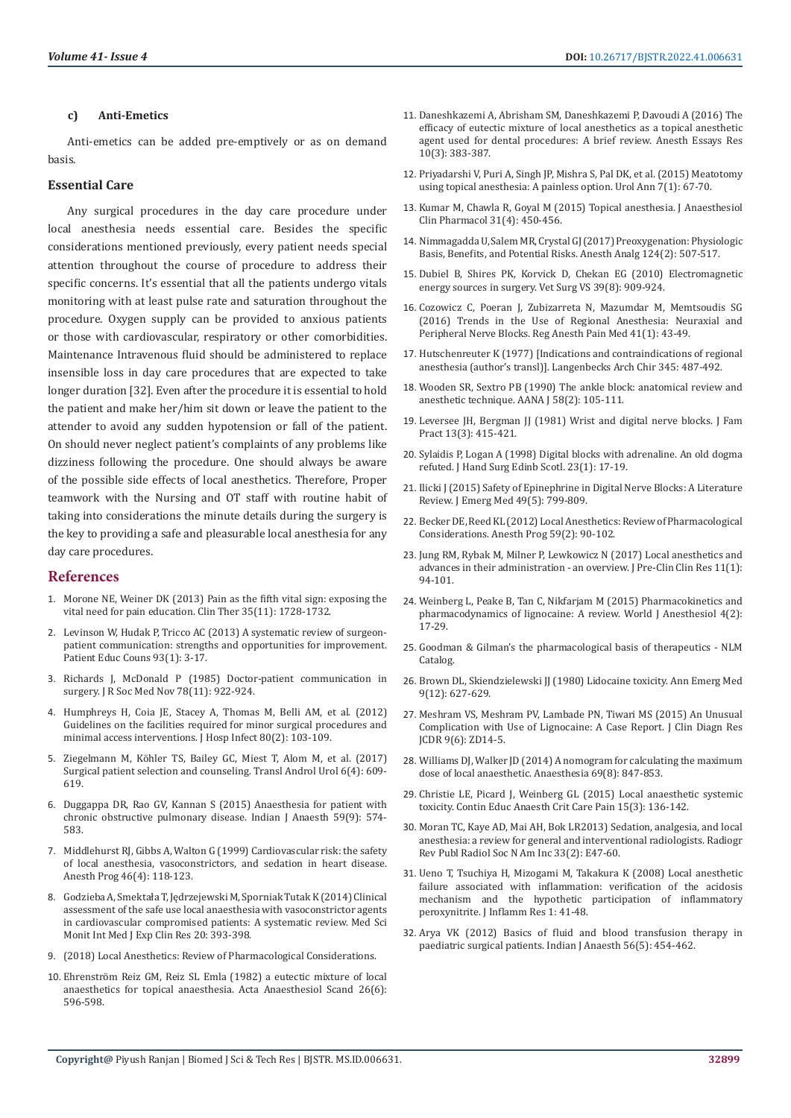#### **c) Anti-Emetics**

Anti-emetics can be added pre-emptively or as on demand basis.

#### **Essential Care**

Any surgical procedures in the day care procedure under local anesthesia needs essential care. Besides the specific considerations mentioned previously, every patient needs special attention throughout the course of procedure to address their specific concerns. It's essential that all the patients undergo vitals monitoring with at least pulse rate and saturation throughout the procedure. Oxygen supply can be provided to anxious patients or those with cardiovascular, respiratory or other comorbidities. Maintenance Intravenous fluid should be administered to replace insensible loss in day care procedures that are expected to take longer duration [32]. Even after the procedure it is essential to hold the patient and make her/him sit down or leave the patient to the attender to avoid any sudden hypotension or fall of the patient. On should never neglect patient's complaints of any problems like dizziness following the procedure. One should always be aware of the possible side effects of local anesthetics. Therefore, Proper teamwork with the Nursing and OT staff with routine habit of taking into considerations the minute details during the surgery is the key to providing a safe and pleasurable local anesthesia for any day care procedures.

# **References**

- 1. [Morone NE, Weiner DK \(2013\) Pain as the fifth vital sign: exposing the](https://pubmed.ncbi.nlm.nih.gov/24145043/)  [vital need for pain education. Clin Ther 35\(11\): 1728-1732.](https://pubmed.ncbi.nlm.nih.gov/24145043/)
- 2. [Levinson W, Hudak P, Tricco AC \(2013\) A systematic review of surgeon](https://pubmed.ncbi.nlm.nih.gov/23867446/)[patient communication: strengths and opportunities for improvement.](https://pubmed.ncbi.nlm.nih.gov/23867446/)  [Patient Educ Couns 93\(1\): 3-17.](https://pubmed.ncbi.nlm.nih.gov/23867446/)
- 3. [Richards J, McDonald P \(1985\) Doctor-patient communication in](https://pubmed.ncbi.nlm.nih.gov/4067961/)  [surgery. J R Soc Med Nov 78\(11\): 922-924.](https://pubmed.ncbi.nlm.nih.gov/4067961/)
- 4. [Humphreys H, Coia JE, Stacey A, Thomas M, Belli AM, et al. \(2012\)](https://pubmed.ncbi.nlm.nih.gov/22192171/)  [Guidelines on the facilities required for minor surgical procedures and](https://pubmed.ncbi.nlm.nih.gov/22192171/)  [minimal access interventions. J Hosp Infect 80\(2\): 103-109.](https://pubmed.ncbi.nlm.nih.gov/22192171/)
- 5. [Ziegelmann M, Köhler TS, Bailey GC, Miest T, Alom M, et al. \(2017\)](https://pubmed.ncbi.nlm.nih.gov/28904893/)  [Surgical patient selection and counseling. Transl Androl Urol 6\(4\): 609-](https://pubmed.ncbi.nlm.nih.gov/28904893/) [619.](https://pubmed.ncbi.nlm.nih.gov/28904893/)
- 6. [Duggappa DR, Rao GV, Kannan S \(2015\) Anaesthesia for patient with](https://www.ncbi.nlm.nih.gov/pmc/articles/PMC4613404/)  [chronic obstructive pulmonary disease. Indian J Anaesth 59\(9\): 574-](https://www.ncbi.nlm.nih.gov/pmc/articles/PMC4613404/) [583.](https://www.ncbi.nlm.nih.gov/pmc/articles/PMC4613404/)
- 7. [Middlehurst RJ, Gibbs A, Walton G \(1999\) Cardiovascular risk: the safety](https://www.ncbi.nlm.nih.gov/pmc/articles/PMC2149004/)  [of local anesthesia, vasoconstrictors, and sedation in heart disease.](https://www.ncbi.nlm.nih.gov/pmc/articles/PMC2149004/)  [Anesth Prog 46\(4\): 118-123.](https://www.ncbi.nlm.nih.gov/pmc/articles/PMC2149004/)
- 8. [Godzieba A, Smektała T, Jędrzejewski M, Sporniak Tutak K \(2014\) Clinical](https://pubmed.ncbi.nlm.nih.gov/24608362/)  [assessment of the safe use local anaesthesia with vasoconstrictor agents](https://pubmed.ncbi.nlm.nih.gov/24608362/)  [in cardiovascular compromised patients: A systematic review. Med Sci](https://pubmed.ncbi.nlm.nih.gov/24608362/)  [Monit Int Med J Exp Clin Res 20: 393-398.](https://pubmed.ncbi.nlm.nih.gov/24608362/)
- 9. (2018) Local Anesthetics: Review of Pharmacological Considerations.
- 10. [Ehrenström Reiz GM, Reiz SL Emla \(1982\) a eutectic mixture of local](https://pubmed.ncbi.nlm.nih.gov/7158268/)  [anaesthetics for topical anaesthesia. Acta Anaesthesiol Scand 26\(6\):](https://pubmed.ncbi.nlm.nih.gov/7158268/)  [596-598.](https://pubmed.ncbi.nlm.nih.gov/7158268/)
- 11. [Daneshkazemi A, Abrisham SM, Daneshkazemi P, Davoudi A \(2016\) The](https://pubmed.ncbi.nlm.nih.gov/27746520/) [efficacy of eutectic mixture of local anesthetics as a topical anesthetic](https://pubmed.ncbi.nlm.nih.gov/27746520/) [agent used for dental procedures: A brief review. Anesth Essays Res](https://pubmed.ncbi.nlm.nih.gov/27746520/) [10\(3\): 383-387.](https://pubmed.ncbi.nlm.nih.gov/27746520/)
- 12. [Priyadarshi V, Puri A, Singh JP, Mishra S, Pal DK, et al. \(2015\) Meatotomy](https://pubmed.ncbi.nlm.nih.gov/25657548/) [using topical anesthesia: A painless option. Urol Ann 7\(1\): 67-70.](https://pubmed.ncbi.nlm.nih.gov/25657548/)
- 13. [Kumar M, Chawla R, Goyal M \(2015\) Topical anesthesia. J Anaesthesiol](https://pubmed.ncbi.nlm.nih.gov/26702198/) [Clin Pharmacol 31\(4\): 450-456.](https://pubmed.ncbi.nlm.nih.gov/26702198/)
- 14. [Nimmagadda U, Salem MR, Crystal GJ \(2017\) Preoxygenation: Physiologic](https://pubmed.ncbi.nlm.nih.gov/28099321/) [Basis, Benefits, and Potential Risks. Anesth Analg 124\(2\): 507-517.](https://pubmed.ncbi.nlm.nih.gov/28099321/)
- 15. [Dubiel B, Shires PK, Korvick D, Chekan EG \(2010\) Electromagnetic](https://pubmed.ncbi.nlm.nih.gov/21133953/) [energy sources in surgery. Vet Surg VS 39\(8\): 909-924.](https://pubmed.ncbi.nlm.nih.gov/21133953/)
- 16. [Cozowicz C, Poeran J, Zubizarreta N, Mazumdar M, Memtsoudis SG](https://pubmed.ncbi.nlm.nih.gov/26650430/) [\(2016\) Trends in the Use of Regional Anesthesia: Neuraxial and](https://pubmed.ncbi.nlm.nih.gov/26650430/) [Peripheral Nerve Blocks. Reg Anesth Pain Med 41\(1\): 43-49.](https://pubmed.ncbi.nlm.nih.gov/26650430/)
- 17. Hutschenreuter K (1977) [Indications and contraindications of regional anesthesia (author's transl)]. Langenbecks Arch Chir 345: 487-492.
- 18. [Wooden SR, Sextro PB \(1990\) The ankle block: anatomical review and](https://pubmed.ncbi.nlm.nih.gov/2343709/) [anesthetic technique. AANA J 58\(2\): 105-111.](https://pubmed.ncbi.nlm.nih.gov/2343709/)
- 19. [Leversee JH, Bergman JJ \(1981\) Wrist and digital nerve blocks. J Fam](https://pubmed.ncbi.nlm.nih.gov/7276851/) [Pract 13\(3\): 415-421.](https://pubmed.ncbi.nlm.nih.gov/7276851/)
- 20. [Sylaidis P, Logan A \(1998\) Digital blocks with adrenaline. An old dogma](https://pubmed.ncbi.nlm.nih.gov/9571472/) [refuted. J Hand Surg Edinb Scotl. 23\(1\): 17-19.](https://pubmed.ncbi.nlm.nih.gov/9571472/)
- 21. [Ilicki J \(2015\) Safety of Epinephrine in Digital Nerve Blocks: A Literature](https://pubmed.ncbi.nlm.nih.gov/26254284/) [Review. J Emerg Med 49\(5\): 799-809.](https://pubmed.ncbi.nlm.nih.gov/26254284/)
- 22. [Becker DE, Reed KL \(2012\) Local Anesthetics: Review of Pharmacological](https://pubmed.ncbi.nlm.nih.gov/22822998/) [Considerations. Anesth Prog 59\(2\): 90-102.](https://pubmed.ncbi.nlm.nih.gov/22822998/)
- 23. [Jung RM, Rybak M, Milner P, Lewkowicz N \(2017\) Local anesthetics and](http://www.jpccr.eu/Local-anesthetics-and-advances-in-their-nadministration-an-overview,75153,0,2.html) [advances in their administration - an overview. J Pre-Clin Clin Res 11\(1\):](http://www.jpccr.eu/Local-anesthetics-and-advances-in-their-nadministration-an-overview,75153,0,2.html) [94-101.](http://www.jpccr.eu/Local-anesthetics-and-advances-in-their-nadministration-an-overview,75153,0,2.html)
- 24. [Weinberg L, Peake B, Tan C, Nikfarjam M \(2015\) Pharmacokinetics and](https://www.wjgnet.com/2218-6182/full/v4/i2/17.htm) [pharmacodynamics of lignocaine: A review. World J Anesthesiol 4\(2\):](https://www.wjgnet.com/2218-6182/full/v4/i2/17.htm) [17-29.](https://www.wjgnet.com/2218-6182/full/v4/i2/17.htm)
- 25. Goodman & Gilman's the pharmacological basis of therapeutics NLM Catalog.
- 26. [Brown DL, Skiendzielewski JJ \(1980\) Lidocaine toxicity. Ann Emerg Med](https://www.ncbi.nlm.nih.gov/pmc/articles/PMC6068002/) [9\(12\): 627-629.](https://www.ncbi.nlm.nih.gov/pmc/articles/PMC6068002/)
- 27. [Meshram VS, Meshram PV, Lambade PN, Tiwari MS \(2015\) An Unusual](https://pubmed.ncbi.nlm.nih.gov/26266227/) [Complication with Use of Lignocaine: A Case Report. J Clin Diagn Res](https://pubmed.ncbi.nlm.nih.gov/26266227/) [JCDR 9\(6\): ZD14-5.](https://pubmed.ncbi.nlm.nih.gov/26266227/)
- 28. [Williams DJ, Walker JD \(2014\) A nomogram for calculating the maximum](https://pubmed.ncbi.nlm.nih.gov/24820093/) [dose of local anaesthetic. Anaesthesia 69\(8\): 847-853.](https://pubmed.ncbi.nlm.nih.gov/24820093/)
- 29. [Christie LE, Picard J, Weinberg GL \(2015\) Local anaesthetic systemic](https://e-safe-anaesthesia.org/e_library/13/Local_anaesthetic_systemic_toxicity.pdf) [toxicity. Contin Educ Anaesth Crit Care Pain 15\(3\): 136-142.](https://e-safe-anaesthesia.org/e_library/13/Local_anaesthetic_systemic_toxicity.pdf)
- 30. [Moran TC, Kaye AD, Mai AH, Bok LR2013\) Sedation, analgesia, and local](https://pubmed.ncbi.nlm.nih.gov/23479720/) [anesthesia: a review for general and interventional radiologists. Radiogr](https://pubmed.ncbi.nlm.nih.gov/23479720/) [Rev Publ Radiol Soc N Am Inc 33\(2\): E47-60.](https://pubmed.ncbi.nlm.nih.gov/23479720/)
- 31. [Ueno T, Tsuchiya H, Mizogami M, Takakura K \(2008\) Local anesthetic](https://www.ncbi.nlm.nih.gov/pmc/articles/PMC3218719/) [failure associated with inflammation: verification of the acidosis](https://www.ncbi.nlm.nih.gov/pmc/articles/PMC3218719/) [mechanism and the hypothetic participation of inflammatory](https://www.ncbi.nlm.nih.gov/pmc/articles/PMC3218719/) [peroxynitrite. J Inflamm Res 1: 41-48.](https://www.ncbi.nlm.nih.gov/pmc/articles/PMC3218719/)
- 32. [Arya VK \(2012\) Basics of fluid and blood transfusion therapy in](https://www.ncbi.nlm.nih.gov/pmc/articles/PMC3531000/) [paediatric surgical patients. Indian J Anaesth 56\(5\): 454-462.](https://www.ncbi.nlm.nih.gov/pmc/articles/PMC3531000/)